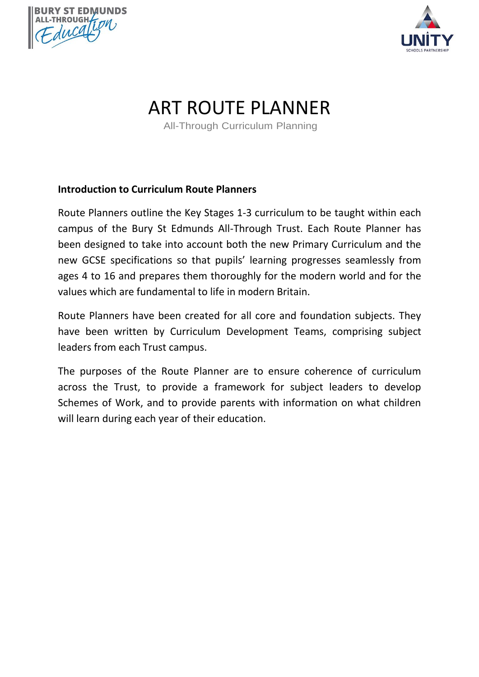



## ART ROUTE PLANNER

All-Through Curriculum Planning

## **Introduction to Curriculum Route Planners**

Route Planners outline the Key Stages 1-3 curriculum to be taught within each campus of the Bury St Edmunds All-Through Trust. Each Route Planner has been designed to take into account both the new Primary Curriculum and the new GCSE specifications so that pupils' learning progresses seamlessly from ages 4 to 16 and prepares them thoroughly for the modern world and for the values which are fundamental to life in modern Britain.

Route Planners have been created for all core and foundation subjects. They have been written by Curriculum Development Teams, comprising subject leaders from each Trust campus.

The purposes of the Route Planner are to ensure coherence of curriculum across the Trust, to provide a framework for subject leaders to develop Schemes of Work, and to provide parents with information on what children will learn during each year of their education.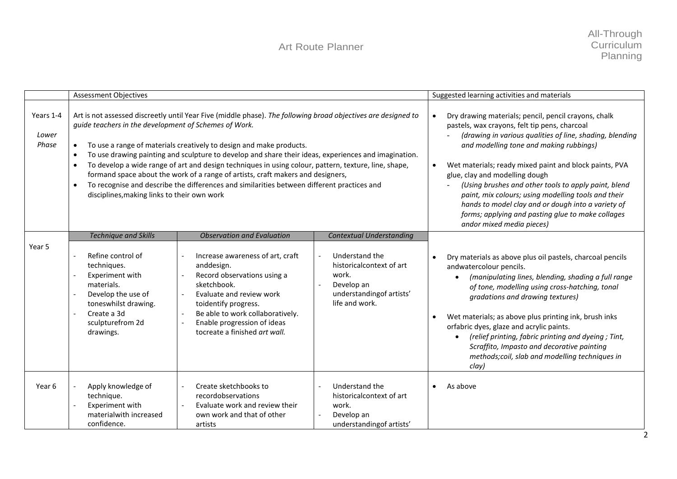|                             | <b>Assessment Objectives</b>                                                                                                                                                                                                                                                                                                                                                                                                                                                                                                                                                                                                                                                                                                                      |                                                                                                                                                                                                                                                                                           |                                                                                                                                                              | Suggested learning activities and materials                                                                                                                                                                                                                                                                                                                                                                                                                                                                                                                                  |
|-----------------------------|---------------------------------------------------------------------------------------------------------------------------------------------------------------------------------------------------------------------------------------------------------------------------------------------------------------------------------------------------------------------------------------------------------------------------------------------------------------------------------------------------------------------------------------------------------------------------------------------------------------------------------------------------------------------------------------------------------------------------------------------------|-------------------------------------------------------------------------------------------------------------------------------------------------------------------------------------------------------------------------------------------------------------------------------------------|--------------------------------------------------------------------------------------------------------------------------------------------------------------|------------------------------------------------------------------------------------------------------------------------------------------------------------------------------------------------------------------------------------------------------------------------------------------------------------------------------------------------------------------------------------------------------------------------------------------------------------------------------------------------------------------------------------------------------------------------------|
| Years 1-4<br>Lower<br>Phase | Art is not assessed discreetly until Year Five (middle phase). The following broad objectives are designed to<br>guide teachers in the development of Schemes of Work.<br>To use a range of materials creatively to design and make products.<br>$\bullet$<br>To use drawing painting and sculpture to develop and share their ideas, experiences and imagination.<br>$\bullet$<br>To develop a wide range of art and design techniques in using colour, pattern, texture, line, shape,<br>$\bullet$<br>formand space about the work of a range of artists, craft makers and designers,<br>To recognise and describe the differences and similarities between different practices and<br>$\bullet$<br>disciplines, making links to their own work |                                                                                                                                                                                                                                                                                           |                                                                                                                                                              | Dry drawing materials; pencil, pencil crayons, chalk<br>pastels, wax crayons, felt tip pens, charcoal<br>(drawing in various qualities of line, shading, blending<br>and modelling tone and making rubbings)<br>Wet materials; ready mixed paint and block paints, PVA<br>$\bullet$<br>glue, clay and modelling dough<br>(Using brushes and other tools to apply paint, blend<br>paint, mix colours; using modelling tools and their<br>hands to model clay and or dough into a variety of<br>forms; applying and pasting glue to make collages<br>andor mixed media pieces) |
| Year 5                      | <b>Technique and Skills</b><br>Refine control of<br>techniques.<br>Experiment with<br>materials.<br>Develop the use of<br>toneswhilst drawing.<br>Create a 3d<br>sculpturefrom 2d<br>drawings.                                                                                                                                                                                                                                                                                                                                                                                                                                                                                                                                                    | <b>Observation and Evaluation</b><br>Increase awareness of art, craft<br>anddesign.<br>Record observations using a<br>sketchbook.<br>Evaluate and review work<br>toidentify progress.<br>Be able to work collaboratively.<br>Enable progression of ideas<br>tocreate a finished art wall. | <b>Contextual Understanding</b><br>Understand the<br>$\sim$<br>historicalcontext of art<br>work.<br>Develop an<br>understandingof artists'<br>life and work. | Dry materials as above plus oil pastels, charcoal pencils<br>$\bullet$<br>andwatercolour pencils.<br>(manipulating lines, blending, shading a full range<br>of tone, modelling using cross-hatching, tonal<br>gradations and drawing textures)<br>Wet materials; as above plus printing ink, brush inks<br>orfabric dyes, glaze and acrylic paints.<br>(relief printing, fabric printing and dyeing; Tint,<br>$\bullet$<br>Scraffito, Impasto and decorative painting<br>methods;coil, slab and modelling techniques in<br>clay)                                             |
| Year 6                      | Apply knowledge of<br>technique.<br>Experiment with<br>materialwith increased<br>confidence.                                                                                                                                                                                                                                                                                                                                                                                                                                                                                                                                                                                                                                                      | Create sketchbooks to<br>recordobservations<br>Evaluate work and review their<br>own work and that of other<br>artists                                                                                                                                                                    | Understand the<br>historicalcontext of art<br>work.<br>Develop an<br>understandingof artists'                                                                | As above<br>$\bullet$                                                                                                                                                                                                                                                                                                                                                                                                                                                                                                                                                        |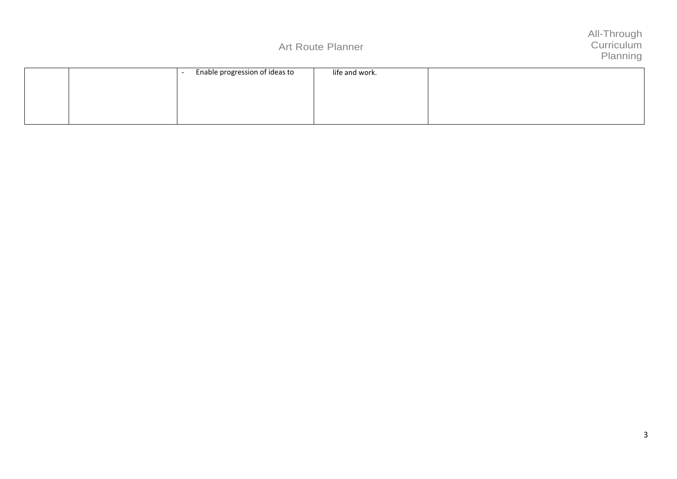All-Through **Curriculum** Planning

|  | Enable progression of ideas to | life and work. |  |
|--|--------------------------------|----------------|--|
|  |                                |                |  |
|  |                                |                |  |
|  |                                |                |  |
|  |                                |                |  |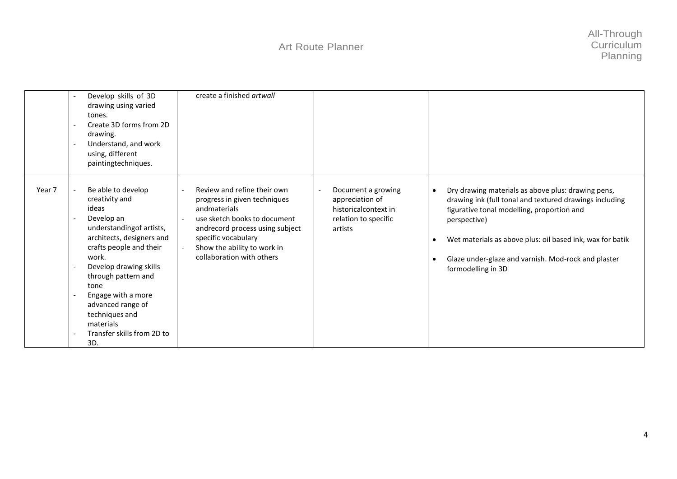|        | Develop skills of 3D<br>drawing using varied<br>tones.<br>Create 3D forms from 2D<br>drawing.<br>Understand, and work<br>using, different<br>paintingtechniques.                                                                                                                                                                 | create a finished artwall                                                                                                                                                                                                         |                                                                                                  |                                                                                                                                                                                                                                                                                                                                                              |
|--------|----------------------------------------------------------------------------------------------------------------------------------------------------------------------------------------------------------------------------------------------------------------------------------------------------------------------------------|-----------------------------------------------------------------------------------------------------------------------------------------------------------------------------------------------------------------------------------|--------------------------------------------------------------------------------------------------|--------------------------------------------------------------------------------------------------------------------------------------------------------------------------------------------------------------------------------------------------------------------------------------------------------------------------------------------------------------|
| Year 7 | Be able to develop<br>creativity and<br>ideas<br>Develop an<br>understandingof artists,<br>architects, designers and<br>crafts people and their<br>work.<br>Develop drawing skills<br>through pattern and<br>tone<br>Engage with a more<br>advanced range of<br>techniques and<br>materials<br>Transfer skills from 2D to<br>3D. | Review and refine their own<br>progress in given techniques<br>andmaterials<br>use sketch books to document<br>andrecord process using subject<br>specific vocabulary<br>Show the ability to work in<br>collaboration with others | Document a growing<br>appreciation of<br>historicalcontext in<br>relation to specific<br>artists | Dry drawing materials as above plus: drawing pens,<br>$\bullet$<br>drawing ink (full tonal and textured drawings including<br>figurative tonal modelling, proportion and<br>perspective)<br>Wet materials as above plus: oil based ink, wax for batik<br>$\bullet$<br>Glaze under-glaze and varnish. Mod-rock and plaster<br>$\bullet$<br>formodelling in 3D |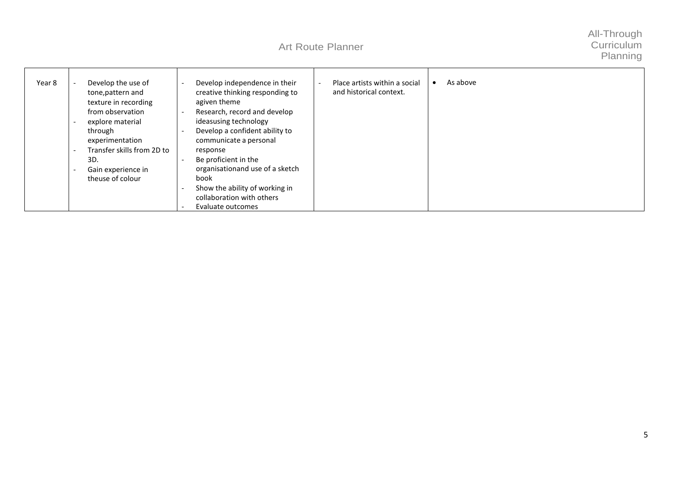All-Through **Curriculum** Planning

## Art Route Planner

| Develop the use of<br>Develop independence in their<br>Year 8<br>creative thinking responding to<br>tone, pattern and<br>agiven theme<br>texture in recording<br>Research, record and develop<br>from observation<br>ideasusing technology<br>explore material<br>Develop a confident ability to<br>through<br>communicate a personal<br>experimentation<br>Transfer skills from 2D to<br>response<br>Be proficient in the<br>3D.<br>organisationand use of a sketch<br>Gain experience in<br>book<br>theuse of colour<br>Show the ability of working in<br>collaboration with others<br>Evaluate outcomes | Place artists within a social<br>and historical context. | As above |
|------------------------------------------------------------------------------------------------------------------------------------------------------------------------------------------------------------------------------------------------------------------------------------------------------------------------------------------------------------------------------------------------------------------------------------------------------------------------------------------------------------------------------------------------------------------------------------------------------------|----------------------------------------------------------|----------|
|------------------------------------------------------------------------------------------------------------------------------------------------------------------------------------------------------------------------------------------------------------------------------------------------------------------------------------------------------------------------------------------------------------------------------------------------------------------------------------------------------------------------------------------------------------------------------------------------------------|----------------------------------------------------------|----------|